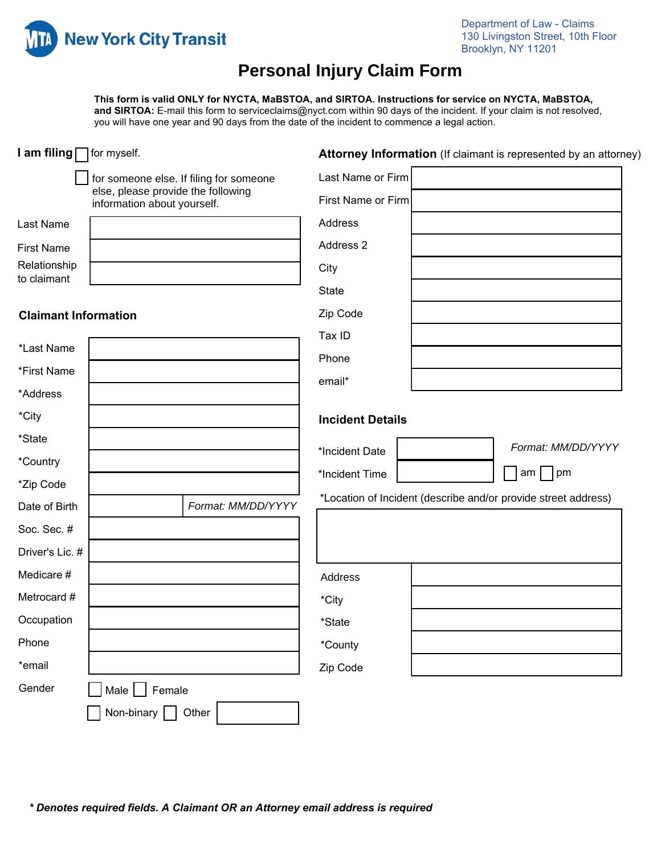

# **Personal Injury Claim Form**

**This form is valid ONLY for NYCTA, MaBSTOA, and SIRTOA. Instructions for service on NYCTA, MaBSTOA, and SIRTOA:** E-mail this form to serviceclaims@nyct.com within 90 days of the incident. If your claim is not resolved, you will have one year and 90 days from the date of the incident to commence a legal action.

| I am filing   for myself.   |                                                                                                              |                    | Attorney Information (If claimant is represented by an attorney) |  |                                                                |
|-----------------------------|--------------------------------------------------------------------------------------------------------------|--------------------|------------------------------------------------------------------|--|----------------------------------------------------------------|
|                             | for someone else. If filing for someone<br>else, please provide the following<br>information about yourself. |                    | Last Name or Firm                                                |  |                                                                |
|                             |                                                                                                              |                    | First Name or Firm                                               |  |                                                                |
| Last Name                   |                                                                                                              |                    | Address                                                          |  |                                                                |
| <b>First Name</b>           |                                                                                                              |                    | Address 2                                                        |  |                                                                |
| Relationship<br>to claimant |                                                                                                              |                    | City                                                             |  |                                                                |
|                             |                                                                                                              |                    | <b>State</b>                                                     |  |                                                                |
| <b>Claimant Information</b> |                                                                                                              |                    | Zip Code                                                         |  |                                                                |
|                             |                                                                                                              |                    | Tax ID                                                           |  |                                                                |
| *Last Name                  |                                                                                                              |                    | Phone                                                            |  |                                                                |
| *First Name                 |                                                                                                              |                    | email*                                                           |  |                                                                |
| *Address                    |                                                                                                              |                    |                                                                  |  |                                                                |
| *City                       |                                                                                                              |                    | <b>Incident Details</b>                                          |  |                                                                |
| *State                      |                                                                                                              |                    | *Incident Date                                                   |  | Format: MM/DD/YYYY                                             |
| *Country                    |                                                                                                              |                    | *Incident Time                                                   |  | am  <br>pm                                                     |
| *Zip Code                   |                                                                                                              |                    |                                                                  |  |                                                                |
| Date of Birth               |                                                                                                              | Format: MM/DD/YYYY |                                                                  |  | *Location of Incident (describe and/or provide street address) |
| Soc. Sec. #                 |                                                                                                              |                    |                                                                  |  |                                                                |
| Driver's Lic. #             |                                                                                                              |                    |                                                                  |  |                                                                |
| Medicare #                  |                                                                                                              |                    | Address                                                          |  |                                                                |
| Metrocard #                 |                                                                                                              |                    | *City                                                            |  |                                                                |
| Occupation                  |                                                                                                              |                    | *State                                                           |  |                                                                |
| Phone                       |                                                                                                              |                    | *County                                                          |  |                                                                |
| *email                      |                                                                                                              |                    | Zip Code                                                         |  |                                                                |
| Gender                      | Male $\Box$ Female                                                                                           |                    |                                                                  |  |                                                                |
|                             | Non-binary $\boxed{\phantom{a}}$                                                                             | Other              |                                                                  |  |                                                                |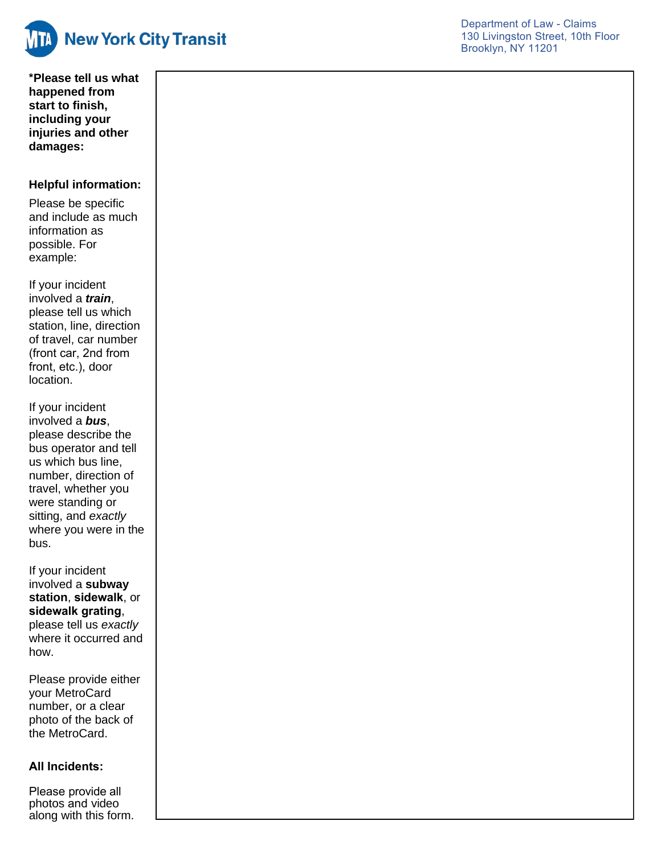

**\*Please tell us what happened from start to finish, including your injuries and other damages :**

## **Helpful information:**

Please be specific and include as much information as possible . For example:

If your incident involved a *train*, please tell us which station, line, direction of travel, car number (front car, 2nd from front, etc.), door location.

If your incident involved a *bus*, please describe the bus operator and tell us which bus line, number, direction of travel, whether you were standing or sitting, and *exactly* where you were in the bus.

If your incident involved a **subway station**, **sidewalk** , or **sidewalk grating**, please tell us *exactly* where it occurred and how.

Please provide either your MetroCard number, o r a clear photo of the back of the MetroCard.

### **All Incidents:**

Please provide all photos and video along with this form .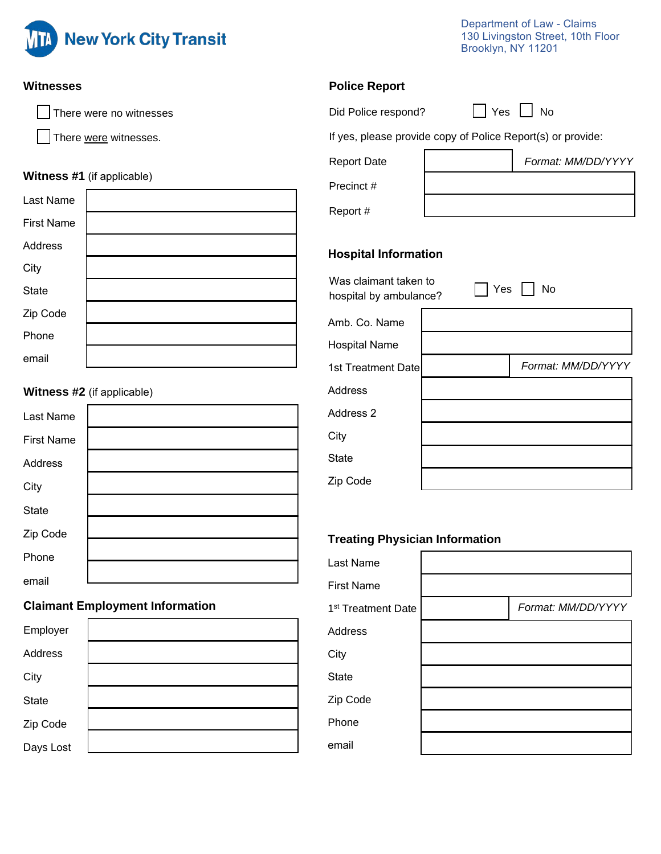

Days Lost

Department of Law - Claims 130 Livingston Street, 10th Floor Brooklyn, NY 11201

| <b>Witnesses</b>                       | <b>Police Report</b>                                        |  |  |  |  |
|----------------------------------------|-------------------------------------------------------------|--|--|--|--|
| There were no witnesses                | $\Box$ Yes $\Box$<br>No<br>Did Police respond?              |  |  |  |  |
| There were witnesses.                  | If yes, please provide copy of Police Report(s) or provide: |  |  |  |  |
|                                        | Format: MM/DD/YYYY<br><b>Report Date</b>                    |  |  |  |  |
| <b>Witness #1</b> (if applicable)      | Precinct #                                                  |  |  |  |  |
| Last Name                              | Report #                                                    |  |  |  |  |
| <b>First Name</b>                      |                                                             |  |  |  |  |
| Address                                | <b>Hospital Information</b>                                 |  |  |  |  |
| City                                   | Was claimant taken to                                       |  |  |  |  |
| <b>State</b>                           | No<br>Yes<br>hospital by ambulance?                         |  |  |  |  |
| Zip Code                               | Amb. Co. Name                                               |  |  |  |  |
| Phone                                  | <b>Hospital Name</b>                                        |  |  |  |  |
| email                                  | Format: MM/DD/YYYY<br>1st Treatment Date                    |  |  |  |  |
| <b>Witness #2</b> (if applicable)      | <b>Address</b>                                              |  |  |  |  |
| Last Name                              | Address 2                                                   |  |  |  |  |
| <b>First Name</b>                      | City                                                        |  |  |  |  |
| Address                                | <b>State</b>                                                |  |  |  |  |
| City                                   | Zip Code                                                    |  |  |  |  |
| <b>State</b>                           |                                                             |  |  |  |  |
| Zip Code                               | <b>Treating Physician Information</b>                       |  |  |  |  |
| Phone                                  | Last Name                                                   |  |  |  |  |
| email                                  | <b>First Name</b>                                           |  |  |  |  |
| <b>Claimant Employment Information</b> | Format: MM/DD/YYYY<br>1 <sup>st</sup> Treatment Date        |  |  |  |  |
| Employer                               | Address                                                     |  |  |  |  |
| Address                                | City                                                        |  |  |  |  |
| City                                   | State                                                       |  |  |  |  |
| <b>State</b>                           | Zip Code                                                    |  |  |  |  |
| Zip Code                               | Phone                                                       |  |  |  |  |

email